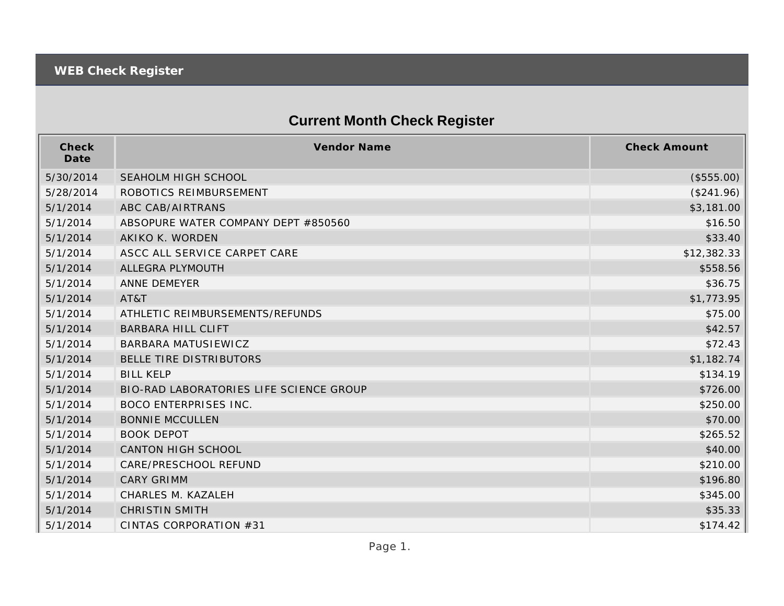## **Current Month Check Register**

| Check<br>Date | Vendor Name                             | <b>Check Amount</b> |
|---------------|-----------------------------------------|---------------------|
| 5/30/2014     | <b>SEAHOLM HIGH SCHOOL</b>              | (\$555.00)          |
| 5/28/2014     | ROBOTICS REIMBURSEMENT                  | (\$241.96)          |
| 5/1/2014      | ABC CAB/AIRTRANS                        | \$3,181.00          |
| 5/1/2014      | ABSOPURE WATER COMPANY DEPT #850560     | \$16.50             |
| 5/1/2014      | AKIKO K. WORDEN                         | \$33.40             |
| 5/1/2014      | ASCC ALL SERVICE CARPET CARE            | \$12,382.33         |
| 5/1/2014      | ALLEGRA PLYMOUTH                        | \$558.56            |
| 5/1/2014      | <b>ANNE DEMEYER</b>                     | \$36.75             |
| 5/1/2014      | AT&T                                    | \$1,773.95          |
| 5/1/2014      | ATHLETIC REIMBURSEMENTS/REFUNDS         | \$75.00             |
| 5/1/2014      | <b>BARBARA HILL CLIFT</b>               | \$42.57             |
| 5/1/2014      | BARBARA MATUSIEWICZ                     | \$72.43             |
| 5/1/2014      | BELLE TIRE DISTRIBUTORS                 | \$1,182.74          |
| 5/1/2014      | <b>BILL KELP</b>                        | \$134.19            |
| 5/1/2014      | BIO-RAD LABORATORIES LIFE SCIENCE GROUP | \$726.00            |
| 5/1/2014      | <b>BOCO ENTERPRISES INC.</b>            | \$250.00            |
| 5/1/2014      | <b>BONNIE MCCULLEN</b>                  | \$70.00             |
| 5/1/2014      | <b>BOOK DEPOT</b>                       | \$265.52            |
| 5/1/2014      | <b>CANTON HIGH SCHOOL</b>               | \$40.00             |
| 5/1/2014      | CARE/PRESCHOOL REFUND                   | \$210.00            |
| 5/1/2014      | <b>CARY GRIMM</b>                       | \$196.80            |
| 5/1/2014      | CHARLES M. KAZALEH                      | \$345.00            |
| 5/1/2014      | <b>CHRISTIN SMITH</b>                   | \$35.33             |
| 5/1/2014      | CINTAS CORPORATION #31                  | \$174.42            |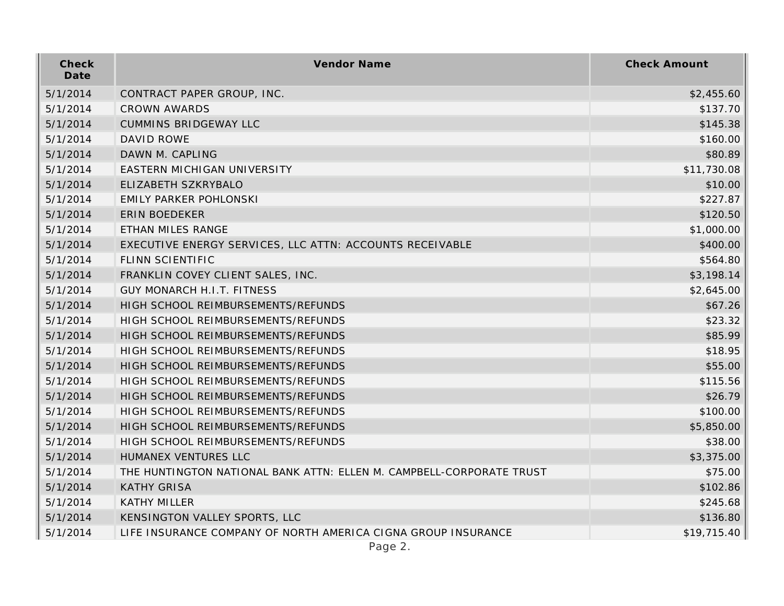| Check<br>Date | Vendor Name                                                          | <b>Check Amount</b> |
|---------------|----------------------------------------------------------------------|---------------------|
| 5/1/2014      | CONTRACT PAPER GROUP, INC.                                           | \$2,455.60          |
| 5/1/2014      | <b>CROWN AWARDS</b>                                                  | \$137.70            |
| 5/1/2014      | <b>CUMMINS BRIDGEWAY LLC</b>                                         | \$145.38            |
| 5/1/2014      | <b>DAVID ROWE</b>                                                    | \$160.00            |
| 5/1/2014      | DAWN M. CAPLING                                                      | \$80.89             |
| 5/1/2014      | EASTERN MICHIGAN UNIVERSITY                                          | \$11,730.08         |
| 5/1/2014      | ELIZABETH SZKRYBALO                                                  | \$10.00             |
| 5/1/2014      | EMILY PARKER POHLONSKI                                               | \$227.87            |
| 5/1/2014      | <b>ERIN BOEDEKER</b>                                                 | \$120.50            |
| 5/1/2014      | ETHAN MILES RANGE                                                    | \$1,000.00          |
| 5/1/2014      | EXECUTIVE ENERGY SERVICES, LLC ATTN: ACCOUNTS RECEIVABLE             | \$400.00            |
| 5/1/2014      | <b>FLINN SCIENTIFIC</b>                                              | \$564.80            |
| 5/1/2014      | FRANKLIN COVEY CLIENT SALES, INC.                                    | \$3,198.14          |
| 5/1/2014      | <b>GUY MONARCH H.I.T. FITNESS</b>                                    | \$2,645.00          |
| 5/1/2014      | HIGH SCHOOL REIMBURSEMENTS/REFUNDS                                   | \$67.26             |
| 5/1/2014      | HIGH SCHOOL REIMBURSEMENTS/REFUNDS                                   | \$23.32             |
| 5/1/2014      | HIGH SCHOOL REIMBURSEMENTS/REFUNDS                                   | \$85.99             |
| 5/1/2014      | HIGH SCHOOL REIMBURSEMENTS/REFUNDS                                   | \$18.95             |
| 5/1/2014      | HIGH SCHOOL REIMBURSEMENTS/REFUNDS                                   | \$55.00             |
| 5/1/2014      | HIGH SCHOOL REIMBURSEMENTS/REFUNDS                                   | \$115.56            |
| 5/1/2014      | HIGH SCHOOL REIMBURSEMENTS/REFUNDS                                   | \$26.79             |
| 5/1/2014      | HIGH SCHOOL REIMBURSEMENTS/REFUNDS                                   | \$100.00            |
| 5/1/2014      | HIGH SCHOOL REIMBURSEMENTS/REFUNDS                                   | \$5,850.00          |
| 5/1/2014      | HIGH SCHOOL REIMBURSEMENTS/REFUNDS                                   | \$38.00             |
| 5/1/2014      | HUMANEX VENTURES LLC                                                 | \$3,375.00          |
| 5/1/2014      | THE HUNTINGTON NATIONAL BANK ATTN: ELLEN M. CAMPBELL-CORPORATE TRUST | \$75.00             |
| 5/1/2014      | <b>KATHY GRISA</b>                                                   | \$102.86            |
| 5/1/2014      | <b>KATHY MILLER</b>                                                  | \$245.68            |
| 5/1/2014      | KENSINGTON VALLEY SPORTS, LLC                                        | \$136.80            |
| 5/1/2014      | LIFE INSURANCE COMPANY OF NORTH AMERICA CIGNA GROUP INSURANCE        | \$19,715.40         |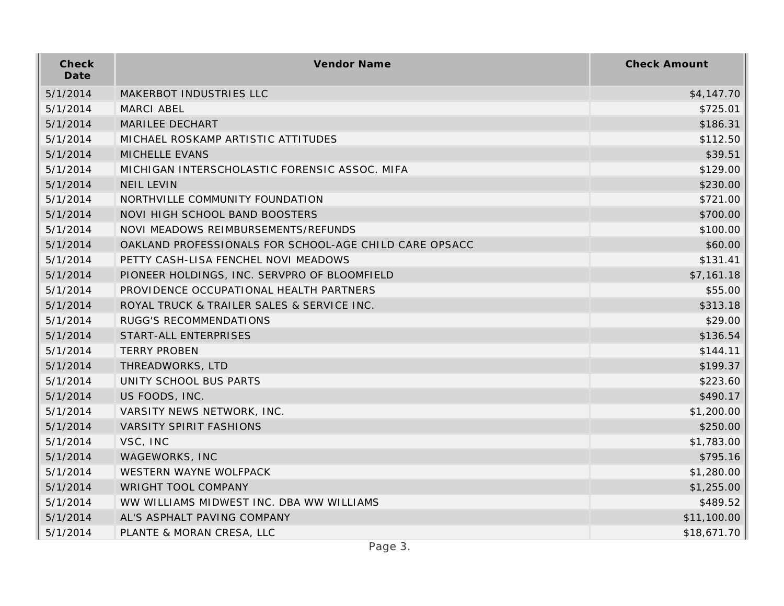| Check<br>Date | Vendor Name                                            | <b>Check Amount</b> |
|---------------|--------------------------------------------------------|---------------------|
| 5/1/2014      | MAKERBOT INDUSTRIES LLC                                | \$4,147.70          |
| 5/1/2014      | <b>MARCI ABEL</b>                                      | \$725.01            |
| 5/1/2014      | MARILEE DECHART                                        | \$186.31            |
| 5/1/2014      | MICHAEL ROSKAMP ARTISTIC ATTITUDES                     | \$112.50            |
| 5/1/2014      | MICHELLE EVANS                                         | \$39.51             |
| 5/1/2014      | MICHIGAN INTERSCHOLASTIC FORENSIC ASSOC. MIFA          | \$129.00            |
| 5/1/2014      | <b>NEIL LEVIN</b>                                      | \$230.00            |
| 5/1/2014      | NORTHVILLE COMMUNITY FOUNDATION                        | \$721.00            |
| 5/1/2014      | NOVI HIGH SCHOOL BAND BOOSTERS                         | \$700.00            |
| 5/1/2014      | NOVI MEADOWS REIMBURSEMENTS/REFUNDS                    | \$100.00            |
| 5/1/2014      | OAKLAND PROFESSIONALS FOR SCHOOL-AGE CHILD CARE OPSACC | \$60.00             |
| 5/1/2014      | PETTY CASH-LISA FENCHEL NOVI MEADOWS                   | \$131.41            |
| 5/1/2014      | PIONEER HOLDINGS, INC. SERVPRO OF BLOOMFIELD           | \$7,161.18          |
| 5/1/2014      | PROVIDENCE OCCUPATIONAL HEALTH PARTNERS                | \$55.00             |
| 5/1/2014      | ROYAL TRUCK & TRAILER SALES & SERVICE INC.             | \$313.18            |
| 5/1/2014      | RUGG'S RECOMMENDATIONS                                 | \$29.00             |
| 5/1/2014      | START-ALL ENTERPRISES                                  | \$136.54            |
| 5/1/2014      | <b>TERRY PROBEN</b>                                    | \$144.11            |
| 5/1/2014      | THREADWORKS, LTD                                       | \$199.37            |
| 5/1/2014      | UNITY SCHOOL BUS PARTS                                 | \$223.60            |
| 5/1/2014      | US FOODS, INC.                                         | \$490.17            |
| 5/1/2014      | VARSITY NEWS NETWORK, INC.                             | \$1,200.00          |
| 5/1/2014      | <b>VARSITY SPIRIT FASHIONS</b>                         | \$250.00            |
| 5/1/2014      | VSC, INC                                               | \$1,783.00          |
| 5/1/2014      | WAGEWORKS, INC                                         | \$795.16            |
| 5/1/2014      | WESTERN WAYNE WOLFPACK                                 | \$1,280.00          |
| 5/1/2014      | WRIGHT TOOL COMPANY                                    | \$1,255.00          |
| 5/1/2014      | WW WILLIAMS MIDWEST INC. DBA WW WILLIAMS               | \$489.52            |
| 5/1/2014      | AL'S ASPHALT PAVING COMPANY                            | \$11,100.00         |
| 5/1/2014      | PLANTE & MORAN CRESA, LLC                              | \$18,671.70         |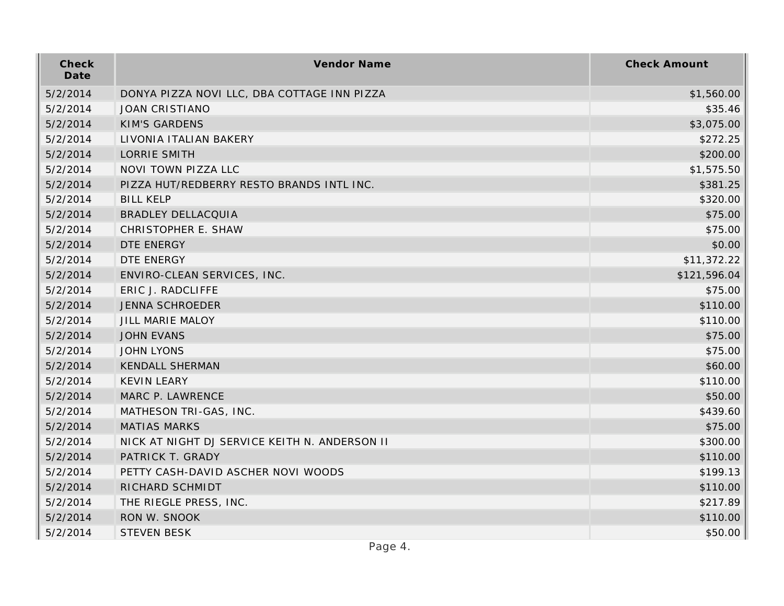| Check<br>Date | Vendor Name                                   | <b>Check Amount</b> |
|---------------|-----------------------------------------------|---------------------|
| 5/2/2014      | DONYA PIZZA NOVI LLC, DBA COTTAGE INN PIZZA   | \$1,560.00          |
| 5/2/2014      | <b>JOAN CRISTIANO</b>                         | \$35.46             |
| 5/2/2014      | <b>KIM'S GARDENS</b>                          | \$3,075.00          |
| 5/2/2014      | LIVONIA ITALIAN BAKERY                        | \$272.25            |
| 5/2/2014      | <b>LORRIE SMITH</b>                           | \$200.00            |
| 5/2/2014      | NOVI TOWN PIZZA LLC                           | \$1,575.50          |
| 5/2/2014      | PIZZA HUT/REDBERRY RESTO BRANDS INTL INC.     | \$381.25            |
| 5/2/2014      | <b>BILL KELP</b>                              | \$320.00            |
| 5/2/2014      | <b>BRADLEY DELLACQUIA</b>                     | \$75.00             |
| 5/2/2014      | CHRISTOPHER E. SHAW                           | \$75.00             |
| 5/2/2014      | DTE ENERGY                                    | \$0.00              |
| 5/2/2014      | DTE ENERGY                                    | \$11,372.22         |
| 5/2/2014      | ENVIRO-CLEAN SERVICES, INC.                   | \$121,596.04        |
| 5/2/2014      | ERIC J. RADCLIFFE                             | \$75.00             |
| 5/2/2014      | <b>JENNA SCHROEDER</b>                        | \$110.00            |
| 5/2/2014      | JILL MARIE MALOY                              | \$110.00            |
| 5/2/2014      | <b>JOHN EVANS</b>                             | \$75.00             |
| 5/2/2014      | <b>JOHN LYONS</b>                             | \$75.00             |
| 5/2/2014      | <b>KENDALL SHERMAN</b>                        | \$60.00             |
| 5/2/2014      | <b>KEVIN LEARY</b>                            | \$110.00            |
| 5/2/2014      | MARC P. LAWRENCE                              | \$50.00             |
| 5/2/2014      | MATHESON TRI-GAS, INC.                        | \$439.60            |
| 5/2/2014      | <b>MATIAS MARKS</b>                           | \$75.00             |
| 5/2/2014      | NICK AT NIGHT DJ SERVICE KEITH N. ANDERSON II | \$300.00            |
| 5/2/2014      | PATRICK T. GRADY                              | \$110.00            |
| 5/2/2014      | PETTY CASH-DAVID ASCHER NOVI WOODS            | \$199.13            |
| 5/2/2014      | RICHARD SCHMIDT                               | \$110.00            |
| 5/2/2014      | THE RIEGLE PRESS, INC.                        | \$217.89            |
| 5/2/2014      | RON W. SNOOK                                  | \$110.00            |
| 5/2/2014      | <b>STEVEN BESK</b>                            | \$50.00             |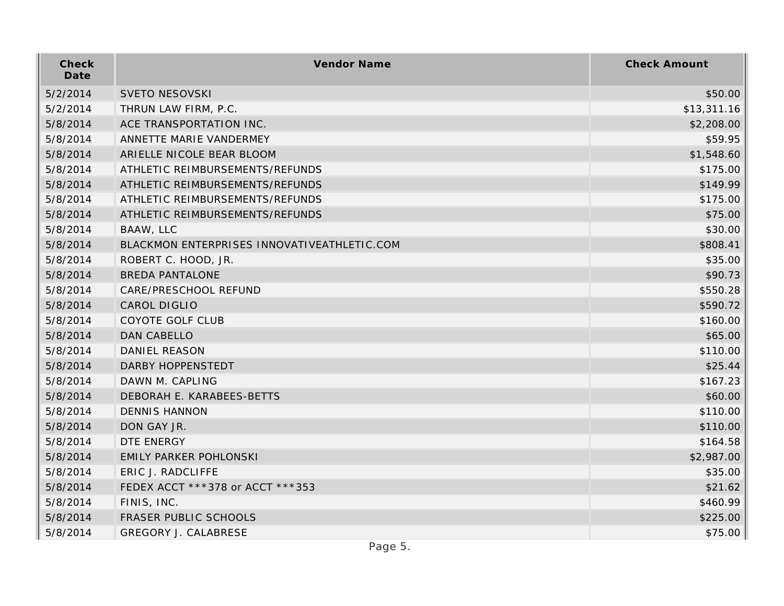| Check<br>Date | Vendor Name                                 | <b>Check Amount</b> |
|---------------|---------------------------------------------|---------------------|
| 5/2/2014      | <b>SVETO NESOVSKI</b>                       | \$50.00             |
| 5/2/2014      | THRUN LAW FIRM, P.C.                        | \$13,311.16         |
| 5/8/2014      | ACE TRANSPORTATION INC.                     | \$2,208.00          |
| 5/8/2014      | ANNETTE MARIE VANDERMEY                     | \$59.95             |
| 5/8/2014      | ARIELLE NICOLE BEAR BLOOM                   | \$1,548.60          |
| 5/8/2014      | ATHLETIC REIMBURSEMENTS/REFUNDS             | \$175.00            |
| 5/8/2014      | ATHLETIC REIMBURSEMENTS/REFUNDS             | \$149.99            |
| 5/8/2014      | ATHLETIC REIMBURSEMENTS/REFUNDS             | \$175.00            |
| 5/8/2014      | ATHLETIC REIMBURSEMENTS/REFUNDS             | \$75.00             |
| 5/8/2014      | BAAW, LLC                                   | \$30.00             |
| 5/8/2014      | BLACKMON ENTERPRISES INNOVATIVEATHLETIC.COM | \$808.41            |
| 5/8/2014      | ROBERT C. HOOD, JR.                         | \$35.00             |
| 5/8/2014      | <b>BREDA PANTALONE</b>                      | \$90.73             |
| 5/8/2014      | CARE/PRESCHOOL REFUND                       | \$550.28            |
| 5/8/2014      | CAROL DIGLIO                                | \$590.72            |
| 5/8/2014      | COYOTE GOLF CLUB                            | \$160.00            |
| 5/8/2014      | DAN CABELLO                                 | \$65.00             |
| 5/8/2014      | DANIEL REASON                               | \$110.00            |
| 5/8/2014      | DARBY HOPPENSTEDT                           | \$25.44             |
| 5/8/2014      | DAWN M. CAPLING                             | \$167.23            |
| 5/8/2014      | DEBORAH E. KARABEES-BETTS                   | \$60.00             |
| 5/8/2014      | <b>DENNIS HANNON</b>                        | \$110.00            |
| 5/8/2014      | DON GAY JR.                                 | \$110.00            |
| 5/8/2014      | DTE ENERGY                                  | \$164.58            |
| 5/8/2014      | EMILY PARKER POHLONSKI                      | \$2,987.00          |
| 5/8/2014      | ERIC J. RADCLIFFE                           | \$35.00             |
| 5/8/2014      | FEDEX ACCT ***378 or ACCT ***353            | \$21.62             |
| 5/8/2014      | FINIS, INC.                                 | \$460.99            |
| 5/8/2014      | FRASER PUBLIC SCHOOLS                       | \$225.00            |
| 5/8/2014      | <b>GREGORY J. CALABRESE</b>                 | \$75.00             |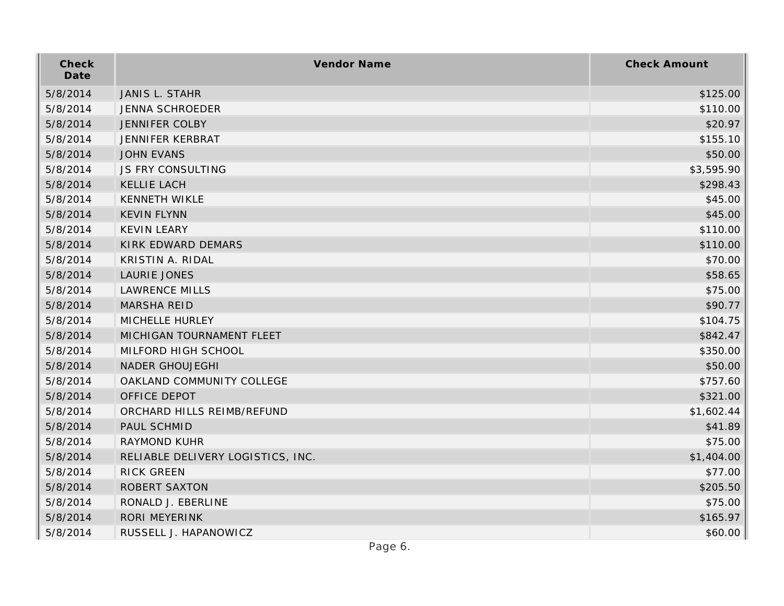| Check<br>Date | Vendor Name                       | <b>Check Amount</b> |
|---------------|-----------------------------------|---------------------|
| 5/8/2014      | JANIS L. STAHR                    | \$125.00            |
| 5/8/2014      | <b>JENNA SCHROEDER</b>            | \$110.00            |
| 5/8/2014      | <b>JENNIFER COLBY</b>             | \$20.97             |
| 5/8/2014      | JENNIFER KERBRAT                  | \$155.10            |
| 5/8/2014      | <b>JOHN EVANS</b>                 | \$50.00             |
| 5/8/2014      | JS FRY CONSULTING                 | \$3,595.90          |
| 5/8/2014      | <b>KELLIE LACH</b>                | \$298.43            |
| 5/8/2014      | <b>KENNETH WIKLE</b>              | \$45.00             |
| 5/8/2014      | <b>KEVIN FLYNN</b>                | \$45.00             |
| 5/8/2014      | <b>KEVIN LEARY</b>                | \$110.00            |
| 5/8/2014      | KIRK EDWARD DEMARS                | \$110.00            |
| 5/8/2014      | KRISTIN A. RIDAL                  | \$70.00             |
| 5/8/2014      | LAURIE JONES                      | \$58.65             |
| 5/8/2014      | <b>LAWRENCE MILLS</b>             | \$75.00             |
| 5/8/2014      | <b>MARSHA REID</b>                | \$90.77             |
| 5/8/2014      | MICHELLE HURLEY                   | \$104.75            |
| 5/8/2014      | MICHIGAN TOURNAMENT FLEET         | \$842.47            |
| 5/8/2014      | MILFORD HIGH SCHOOL               | \$350.00            |
| 5/8/2014      | <b>NADER GHOUJEGHI</b>            | \$50.00             |
| 5/8/2014      | OAKLAND COMMUNITY COLLEGE         | \$757.60            |
| 5/8/2014      | OFFICE DEPOT                      | \$321.00            |
| 5/8/2014      | ORCHARD HILLS REIMB/REFUND        | \$1,602.44          |
| 5/8/2014      | PAUL SCHMID                       | \$41.89             |
| 5/8/2014      | RAYMOND KUHR                      | \$75.00             |
| 5/8/2014      | RELIABLE DELIVERY LOGISTICS, INC. | \$1,404.00          |
| 5/8/2014      | <b>RICK GREEN</b>                 | \$77.00             |
| 5/8/2014      | <b>ROBERT SAXTON</b>              | \$205.50            |
| 5/8/2014      | RONALD J. EBERLINE                | \$75.00             |
| 5/8/2014      | <b>RORI MEYERINK</b>              | \$165.97            |
| 5/8/2014      | RUSSELL J. HAPANOWICZ             | \$60.00             |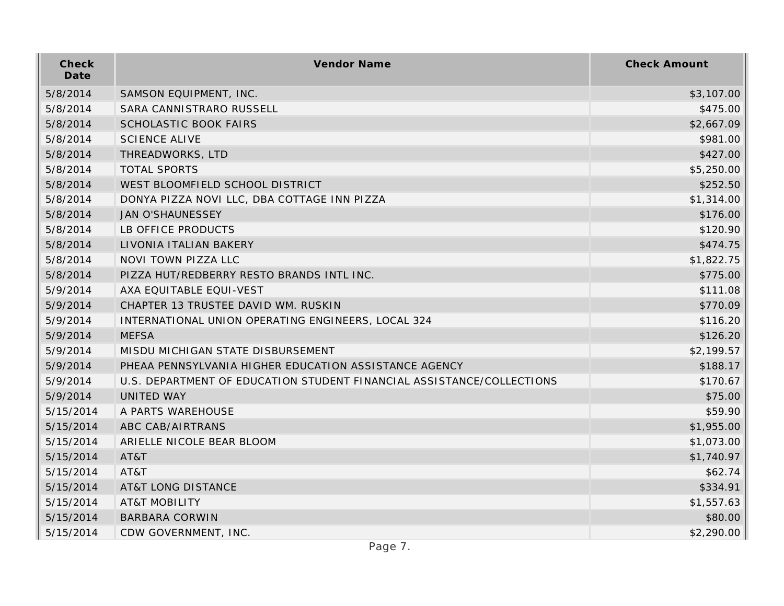| Check<br>Date | Vendor Name                                                           | <b>Check Amount</b> |
|---------------|-----------------------------------------------------------------------|---------------------|
| 5/8/2014      | SAMSON EQUIPMENT, INC.                                                | \$3,107.00          |
| 5/8/2014      | SARA CANNISTRARO RUSSELL                                              | \$475.00            |
| 5/8/2014      | SCHOLASTIC BOOK FAIRS                                                 | \$2,667.09          |
| 5/8/2014      | <b>SCIENCE ALIVE</b>                                                  | \$981.00            |
| 5/8/2014      | THREADWORKS, LTD                                                      | \$427.00            |
| 5/8/2014      | <b>TOTAL SPORTS</b>                                                   | \$5,250.00          |
| 5/8/2014      | WEST BLOOMFIELD SCHOOL DISTRICT                                       | \$252.50            |
| 5/8/2014      | DONYA PIZZA NOVI LLC, DBA COTTAGE INN PIZZA                           | \$1,314.00          |
| 5/8/2014      | <b>JAN O'SHAUNESSEY</b>                                               | \$176.00            |
| 5/8/2014      | LB OFFICE PRODUCTS                                                    | \$120.90            |
| 5/8/2014      | LIVONIA ITALIAN BAKERY                                                | \$474.75            |
| 5/8/2014      | NOVI TOWN PIZZA LLC                                                   | \$1,822.75          |
| 5/8/2014      | PIZZA HUT/REDBERRY RESTO BRANDS INTL INC.                             | \$775.00            |
| 5/9/2014      | AXA EQUITABLE EQUI-VEST                                               | \$111.08            |
| 5/9/2014      | CHAPTER 13 TRUSTEE DAVID WM. RUSKIN                                   | \$770.09            |
| 5/9/2014      | INTERNATIONAL UNION OPERATING ENGINEERS, LOCAL 324                    | \$116.20            |
| 5/9/2014      | <b>MEFSA</b>                                                          | \$126.20            |
| 5/9/2014      | MISDU MICHIGAN STATE DISBURSEMENT                                     | \$2,199.57          |
| 5/9/2014      | PHEAA PENNSYLVANIA HIGHER EDUCATION ASSISTANCE AGENCY                 | \$188.17            |
| 5/9/2014      | U.S. DEPARTMENT OF EDUCATION STUDENT FINANCIAL ASSISTANCE/COLLECTIONS | \$170.67            |
| 5/9/2014      | <b>UNITED WAY</b>                                                     | \$75.00             |
| 5/15/2014     | A PARTS WAREHOUSE                                                     | \$59.90             |
| 5/15/2014     | ABC CAB/AIRTRANS                                                      | \$1,955.00          |
| 5/15/2014     | ARIELLE NICOLE BEAR BLOOM                                             | \$1,073.00          |
| 5/15/2014     | AT&T                                                                  | \$1,740.97          |
| 5/15/2014     | AT&T                                                                  | \$62.74             |
| 5/15/2014     | <b>AT&amp;T LONG DISTANCE</b>                                         | \$334.91            |
| 5/15/2014     | <b>AT&amp;T MOBILITY</b>                                              | \$1,557.63          |
| 5/15/2014     | <b>BARBARA CORWIN</b>                                                 | \$80.00             |
| 5/15/2014     | CDW GOVERNMENT, INC.                                                  | \$2,290.00          |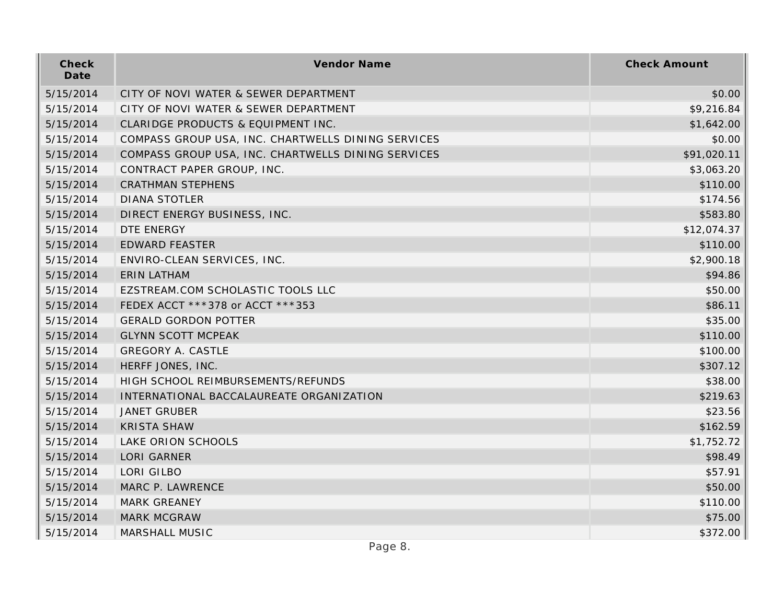| Check<br>Date | Vendor Name                                        | <b>Check Amount</b> |
|---------------|----------------------------------------------------|---------------------|
| 5/15/2014     | CITY OF NOVI WATER & SEWER DEPARTMENT              | \$0.00              |
| 5/15/2014     | CITY OF NOVI WATER & SEWER DEPARTMENT              | \$9,216.84          |
| 5/15/2014     | CLARIDGE PRODUCTS & EQUIPMENT INC.                 | \$1,642.00          |
| 5/15/2014     | COMPASS GROUP USA, INC. CHARTWELLS DINING SERVICES | \$0.00              |
| 5/15/2014     | COMPASS GROUP USA, INC. CHARTWELLS DINING SERVICES | \$91,020.11         |
| 5/15/2014     | CONTRACT PAPER GROUP, INC.                         | \$3,063.20          |
| 5/15/2014     | <b>CRATHMAN STEPHENS</b>                           | \$110.00            |
| 5/15/2014     | <b>DIANA STOTLER</b>                               | \$174.56            |
| 5/15/2014     | DIRECT ENERGY BUSINESS, INC.                       | \$583.80            |
| 5/15/2014     | DTE ENERGY                                         | \$12,074.37         |
| 5/15/2014     | <b>EDWARD FEASTER</b>                              | \$110.00            |
| 5/15/2014     | ENVIRO-CLEAN SERVICES, INC.                        | \$2,900.18          |
| 5/15/2014     | <b>ERIN LATHAM</b>                                 | \$94.86             |
| 5/15/2014     | EZSTREAM.COM SCHOLASTIC TOOLS LLC                  | \$50.00             |
| 5/15/2014     | FEDEX ACCT ***378 or ACCT ***353                   | \$86.11             |
| 5/15/2014     | <b>GERALD GORDON POTTER</b>                        | \$35.00             |
| 5/15/2014     | <b>GLYNN SCOTT MCPEAK</b>                          | \$110.00            |
| 5/15/2014     | <b>GREGORY A. CASTLE</b>                           | \$100.00            |
| 5/15/2014     | HERFF JONES, INC.                                  | \$307.12            |
| 5/15/2014     | HIGH SCHOOL REIMBURSEMENTS/REFUNDS                 | \$38.00             |
| 5/15/2014     | INTERNATIONAL BACCALAUREATE ORGANIZATION           | \$219.63            |
| 5/15/2014     | <b>JANET GRUBER</b>                                | \$23.56             |
| 5/15/2014     | <b>KRISTA SHAW</b>                                 | \$162.59            |
| 5/15/2014     | LAKE ORION SCHOOLS                                 | \$1,752.72          |
| 5/15/2014     | <b>LORI GARNER</b>                                 | \$98.49             |
| 5/15/2014     | LORI GILBO                                         | \$57.91             |
| 5/15/2014     | MARC P. LAWRENCE                                   | \$50.00             |
| 5/15/2014     | <b>MARK GREANEY</b>                                | \$110.00            |
| 5/15/2014     | <b>MARK MCGRAW</b>                                 | \$75.00             |
| 5/15/2014     | MARSHALL MUSIC                                     | \$372.00            |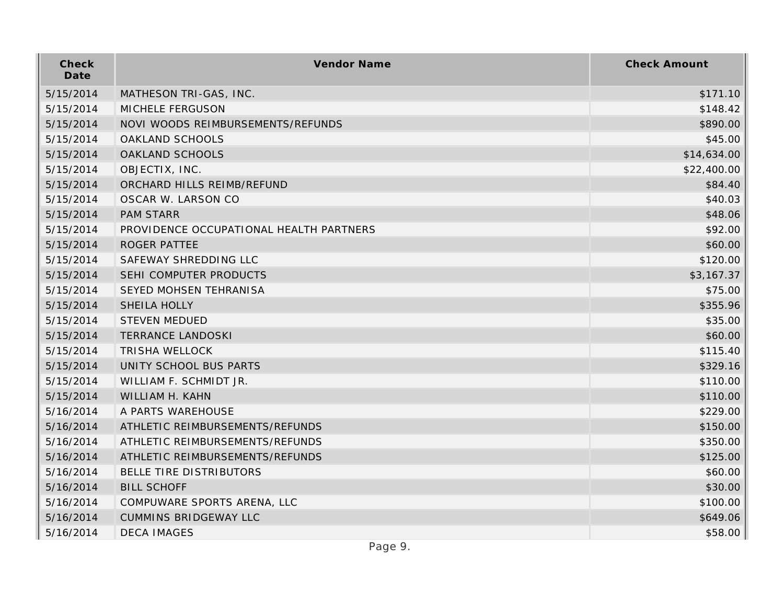| Check<br>Date | Vendor Name                             | <b>Check Amount</b> |
|---------------|-----------------------------------------|---------------------|
| 5/15/2014     | MATHESON TRI-GAS, INC.                  | \$171.10            |
| 5/15/2014     | MICHELE FERGUSON                        | \$148.42            |
| 5/15/2014     | NOVI WOODS REIMBURSEMENTS/REFUNDS       | \$890.00            |
| 5/15/2014     | OAKLAND SCHOOLS                         | \$45.00             |
| 5/15/2014     | OAKLAND SCHOOLS                         | \$14,634.00         |
| 5/15/2014     | OBJECTIX, INC.                          | \$22,400.00         |
| 5/15/2014     | ORCHARD HILLS REIMB/REFUND              | \$84.40             |
| 5/15/2014     | OSCAR W. LARSON CO                      | \$40.03             |
| 5/15/2014     | <b>PAM STARR</b>                        | \$48.06             |
| 5/15/2014     | PROVIDENCE OCCUPATIONAL HEALTH PARTNERS | \$92.00             |
| 5/15/2014     | ROGER PATTEE                            | \$60.00             |
| 5/15/2014     | SAFEWAY SHREDDING LLC                   | \$120.00            |
| 5/15/2014     | SEHI COMPUTER PRODUCTS                  | \$3,167.37          |
| 5/15/2014     | SEYED MOHSEN TEHRANISA                  | \$75.00             |
| 5/15/2014     | SHEILA HOLLY                            | \$355.96            |
| 5/15/2014     | <b>STEVEN MEDUED</b>                    | \$35.00             |
| 5/15/2014     | <b>TERRANCE LANDOSKI</b>                | \$60.00             |
| 5/15/2014     | <b>TRISHA WELLOCK</b>                   | \$115.40            |
| 5/15/2014     | UNITY SCHOOL BUS PARTS                  | \$329.16            |
| 5/15/2014     | WILLIAM F. SCHMIDT JR.                  | \$110.00            |
| 5/15/2014     | WILLIAM H. KAHN                         | \$110.00            |
| 5/16/2014     | A PARTS WAREHOUSE                       | \$229.00            |
| 5/16/2014     | ATHLETIC REIMBURSEMENTS/REFUNDS         | \$150.00            |
| 5/16/2014     | ATHLETIC REIMBURSEMENTS/REFUNDS         | \$350.00            |
| 5/16/2014     | ATHLETIC REIMBURSEMENTS/REFUNDS         | \$125.00            |
| 5/16/2014     | BELLE TIRE DISTRIBUTORS                 | \$60.00             |
| 5/16/2014     | <b>BILL SCHOFF</b>                      | \$30.00             |
| 5/16/2014     | COMPUWARE SPORTS ARENA, LLC             | \$100.00            |
| 5/16/2014     | <b>CUMMINS BRIDGEWAY LLC</b>            | \$649.06            |
| 5/16/2014     | <b>DECA IMAGES</b>                      | \$58.00             |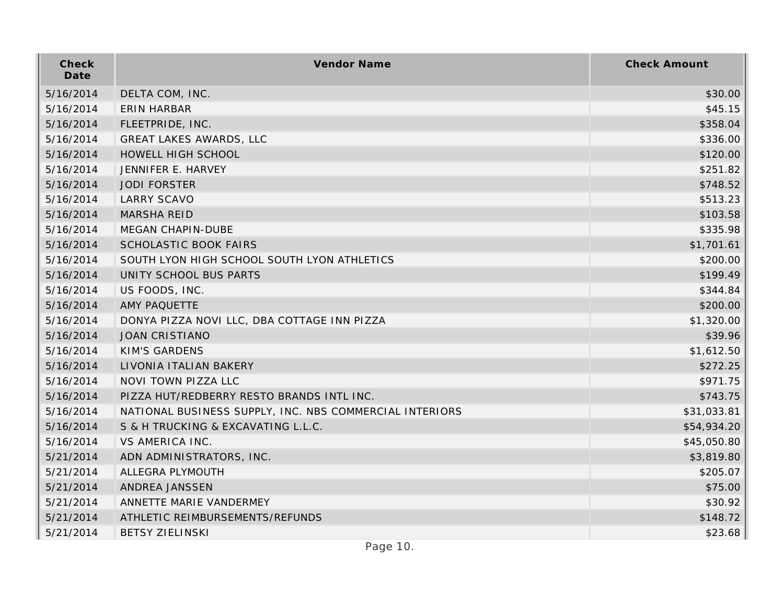| Check<br>Date | Vendor Name                                             | <b>Check Amount</b> |
|---------------|---------------------------------------------------------|---------------------|
| 5/16/2014     | DELTA COM, INC.                                         | \$30.00             |
| 5/16/2014     | <b>ERIN HARBAR</b>                                      | \$45.15             |
| 5/16/2014     | FLEETPRIDE, INC.                                        | \$358.04            |
| 5/16/2014     | GREAT LAKES AWARDS, LLC                                 | \$336.00            |
| 5/16/2014     | HOWELL HIGH SCHOOL                                      | \$120.00            |
| 5/16/2014     | JENNIFER E. HARVEY                                      | \$251.82            |
| 5/16/2014     | <b>JODI FORSTER</b>                                     | \$748.52            |
| 5/16/2014     | <b>LARRY SCAVO</b>                                      | \$513.23            |
| 5/16/2014     | <b>MARSHA REID</b>                                      | \$103.58            |
| 5/16/2014     | MEGAN CHAPIN-DUBE                                       | \$335.98            |
| 5/16/2014     | <b>SCHOLASTIC BOOK FAIRS</b>                            | \$1,701.61          |
| 5/16/2014     | SOUTH LYON HIGH SCHOOL SOUTH LYON ATHLETICS             | \$200.00            |
| 5/16/2014     | UNITY SCHOOL BUS PARTS                                  | \$199.49            |
| 5/16/2014     | US FOODS, INC.                                          | \$344.84            |
| 5/16/2014     | AMY PAQUETTE                                            | \$200.00            |
| 5/16/2014     | DONYA PIZZA NOVI LLC, DBA COTTAGE INN PIZZA             | \$1,320.00          |
| 5/16/2014     | <b>JOAN CRISTIANO</b>                                   | \$39.96             |
| 5/16/2014     | <b>KIM'S GARDENS</b>                                    | \$1,612.50          |
| 5/16/2014     | LIVONIA ITALIAN BAKERY                                  | \$272.25            |
| 5/16/2014     | NOVI TOWN PIZZA LLC                                     | \$971.75            |
| 5/16/2014     | PIZZA HUT/REDBERRY RESTO BRANDS INTL INC.               | \$743.75            |
| 5/16/2014     | NATIONAL BUSINESS SUPPLY, INC. NBS COMMERCIAL INTERIORS | \$31,033.81         |
| 5/16/2014     | S & H TRUCKING & EXCAVATING L.L.C.                      | \$54,934.20         |
| 5/16/2014     | <b>VS AMERICA INC.</b>                                  | \$45,050.80         |
| 5/21/2014     | ADN ADMINISTRATORS, INC.                                | \$3,819.80          |
| 5/21/2014     | ALLEGRA PLYMOUTH                                        | \$205.07            |
| 5/21/2014     | ANDREA JANSSEN                                          | \$75.00             |
| 5/21/2014     | ANNETTE MARIE VANDERMEY                                 | \$30.92             |
| 5/21/2014     | ATHLETIC REIMBURSEMENTS/REFUNDS                         | \$148.72            |
| 5/21/2014     | <b>BETSY ZIELINSKI</b>                                  | \$23.68             |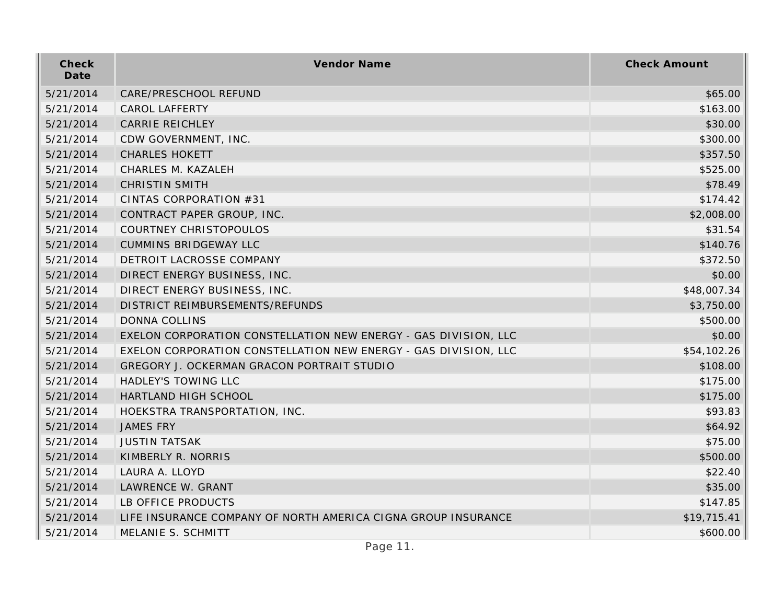| Check<br>Date | Vendor Name                                                     | <b>Check Amount</b> |
|---------------|-----------------------------------------------------------------|---------------------|
| 5/21/2014     | CARE/PRESCHOOL REFUND                                           | \$65.00             |
| 5/21/2014     | <b>CAROL LAFFERTY</b>                                           | \$163.00            |
| 5/21/2014     | <b>CARRIE REICHLEY</b>                                          | \$30.00             |
| 5/21/2014     | CDW GOVERNMENT, INC.                                            | \$300.00            |
| 5/21/2014     | <b>CHARLES HOKETT</b>                                           | \$357.50            |
| 5/21/2014     | CHARLES M. KAZALEH                                              | \$525.00            |
| 5/21/2014     | <b>CHRISTIN SMITH</b>                                           | \$78.49             |
| 5/21/2014     | CINTAS CORPORATION #31                                          | \$174.42            |
| 5/21/2014     | CONTRACT PAPER GROUP, INC.                                      | \$2,008.00          |
| 5/21/2014     | COURTNEY CHRISTOPOULOS                                          | \$31.54             |
| 5/21/2014     | <b>CUMMINS BRIDGEWAY LLC</b>                                    | \$140.76            |
| 5/21/2014     | DETROIT LACROSSE COMPANY                                        | \$372.50            |
| 5/21/2014     | DIRECT ENERGY BUSINESS, INC.                                    | \$0.00              |
| 5/21/2014     | DIRECT ENERGY BUSINESS, INC.                                    | \$48,007.34         |
| 5/21/2014     | DISTRICT REIMBURSEMENTS/REFUNDS                                 | \$3,750.00          |
| 5/21/2014     | <b>DONNA COLLINS</b>                                            | \$500.00            |
| 5/21/2014     | EXELON CORPORATION CONSTELLATION NEW ENERGY - GAS DIVISION, LLC | \$0.00              |
| 5/21/2014     | EXELON CORPORATION CONSTELLATION NEW ENERGY - GAS DIVISION, LLC | \$54,102.26         |
| 5/21/2014     | GREGORY J. OCKERMAN GRACON PORTRAIT STUDIO                      | \$108.00            |
| 5/21/2014     | HADLEY'S TOWING LLC                                             | \$175.00            |
| 5/21/2014     | HARTLAND HIGH SCHOOL                                            | \$175.00            |
| 5/21/2014     | HOEKSTRA TRANSPORTATION, INC.                                   | \$93.83             |
| 5/21/2014     | <b>JAMES FRY</b>                                                | \$64.92             |
| 5/21/2014     | <b>JUSTIN TATSAK</b>                                            | \$75.00             |
| 5/21/2014     | KIMBERLY R. NORRIS                                              | \$500.00            |
| 5/21/2014     | LAURA A. LLOYD                                                  | \$22.40             |
| 5/21/2014     | LAWRENCE W. GRANT                                               | \$35.00             |
| 5/21/2014     | LB OFFICE PRODUCTS                                              | \$147.85            |
| 5/21/2014     | LIFE INSURANCE COMPANY OF NORTH AMERICA CIGNA GROUP INSURANCE   | \$19,715.41         |
| 5/21/2014     | MELANIE S. SCHMITT                                              | \$600.00            |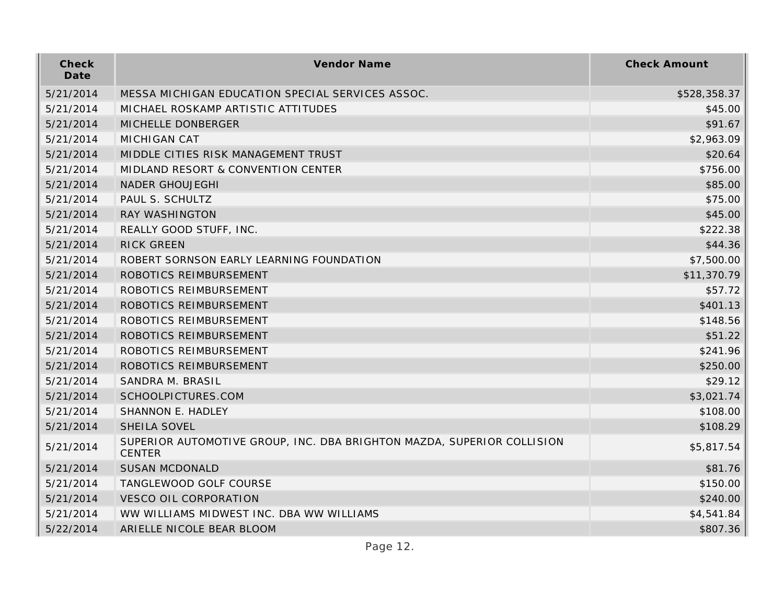| Check<br>Date | Vendor Name                                                                             | <b>Check Amount</b> |
|---------------|-----------------------------------------------------------------------------------------|---------------------|
| 5/21/2014     | MESSA MICHIGAN EDUCATION SPECIAL SERVICES ASSOC.                                        | \$528,358.37        |
| 5/21/2014     | MICHAEL ROSKAMP ARTISTIC ATTITUDES                                                      | \$45.00             |
| 5/21/2014     | MICHELLE DONBERGER                                                                      | \$91.67             |
| 5/21/2014     | <b>MICHIGAN CAT</b>                                                                     | \$2,963.09          |
| 5/21/2014     | MIDDLE CITIES RISK MANAGEMENT TRUST                                                     | \$20.64             |
| 5/21/2014     | MIDLAND RESORT & CONVENTION CENTER                                                      | \$756.00            |
| 5/21/2014     | <b>NADER GHOUJEGHI</b>                                                                  | \$85.00             |
| 5/21/2014     | PAUL S. SCHULTZ                                                                         | \$75.00             |
| 5/21/2014     | RAY WASHINGTON                                                                          | \$45.00             |
| 5/21/2014     | REALLY GOOD STUFF, INC.                                                                 | \$222.38            |
| 5/21/2014     | RICK GREEN                                                                              | \$44.36             |
| 5/21/2014     | ROBERT SORNSON EARLY LEARNING FOUNDATION                                                | \$7,500.00          |
| 5/21/2014     | ROBOTICS REIMBURSEMENT                                                                  | \$11,370.79         |
| 5/21/2014     | ROBOTICS REIMBURSEMENT                                                                  | \$57.72             |
| 5/21/2014     | ROBOTICS REIMBURSEMENT                                                                  | \$401.13            |
| 5/21/2014     | ROBOTICS REIMBURSEMENT                                                                  | \$148.56            |
| 5/21/2014     | ROBOTICS REIMBURSEMENT                                                                  | \$51.22             |
| 5/21/2014     | ROBOTICS REIMBURSEMENT                                                                  | \$241.96            |
| 5/21/2014     | ROBOTICS REIMBURSEMENT                                                                  | \$250.00            |
| 5/21/2014     | SANDRA M. BRASIL                                                                        | \$29.12             |
| 5/21/2014     | SCHOOLPICTURES.COM                                                                      | \$3,021.74          |
| 5/21/2014     | SHANNON E. HADLEY                                                                       | \$108.00            |
| 5/21/2014     | SHEILA SOVEL                                                                            | \$108.29            |
| 5/21/2014     | SUPERIOR AUTOMOTIVE GROUP, INC. DBA BRIGHTON MAZDA, SUPERIOR COLLISION<br><b>CENTER</b> | \$5,817.54          |
| 5/21/2014     | <b>SUSAN MCDONALD</b>                                                                   | \$81.76             |
| 5/21/2014     | TANGLEWOOD GOLF COURSE                                                                  | \$150.00            |
| 5/21/2014     | <b>VESCO OIL CORPORATION</b>                                                            | \$240.00            |
| 5/21/2014     | WW WILLIAMS MIDWEST INC. DBA WW WILLIAMS                                                | \$4,541.84          |
| 5/22/2014     | ARIELLE NICOLE BEAR BLOOM                                                               | \$807.36            |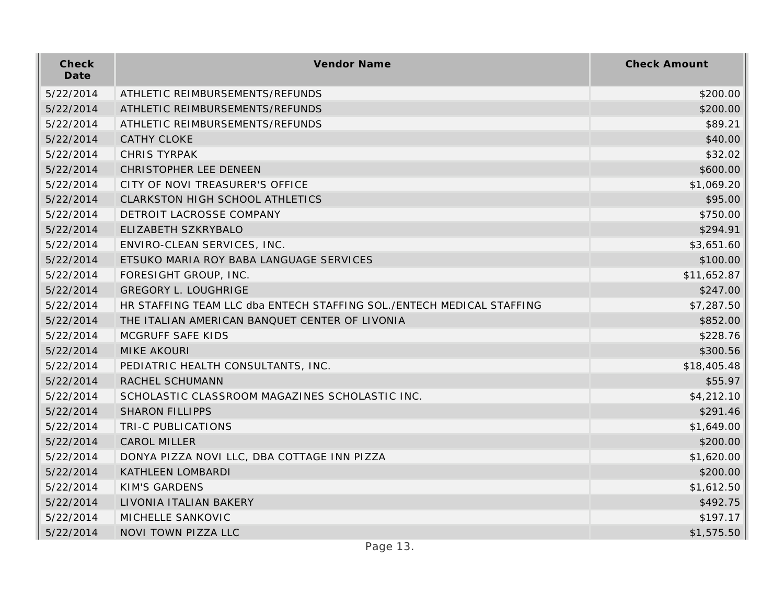| Check<br>Date | Vendor Name                                                           | <b>Check Amount</b> |
|---------------|-----------------------------------------------------------------------|---------------------|
| 5/22/2014     | ATHLETIC REIMBURSEMENTS/REFUNDS                                       | \$200.00            |
| 5/22/2014     | ATHLETIC REIMBURSEMENTS/REFUNDS                                       | \$200.00            |
| 5/22/2014     | ATHLETIC REIMBURSEMENTS/REFUNDS                                       | \$89.21             |
| 5/22/2014     | <b>CATHY CLOKE</b>                                                    | \$40.00             |
| 5/22/2014     | <b>CHRIS TYRPAK</b>                                                   | \$32.02             |
| 5/22/2014     | CHRISTOPHER LEE DENEEN                                                | \$600.00            |
| 5/22/2014     | CITY OF NOVI TREASURER'S OFFICE                                       | \$1,069.20          |
| 5/22/2014     | CLARKSTON HIGH SCHOOL ATHLETICS                                       | \$95.00             |
| 5/22/2014     | DETROIT LACROSSE COMPANY                                              | \$750.00            |
| 5/22/2014     | ELIZABETH SZKRYBALO                                                   | \$294.91            |
| 5/22/2014     | ENVIRO-CLEAN SERVICES, INC.                                           | \$3,651.60          |
| 5/22/2014     | ETSUKO MARIA ROY BABA LANGUAGE SERVICES                               | \$100.00            |
| 5/22/2014     | FORESIGHT GROUP, INC.                                                 | \$11,652.87         |
| 5/22/2014     | <b>GREGORY L. LOUGHRIGE</b>                                           | \$247.00            |
| 5/22/2014     | HR STAFFING TEAM LLC dba ENTECH STAFFING SOL./ENTECH MEDICAL STAFFING | \$7,287.50          |
| 5/22/2014     | THE ITALIAN AMERICAN BANQUET CENTER OF LIVONIA                        | \$852.00            |
| 5/22/2014     | MCGRUFF SAFE KIDS                                                     | \$228.76            |
| 5/22/2014     | <b>MIKE AKOURI</b>                                                    | \$300.56            |
| 5/22/2014     | PEDIATRIC HEALTH CONSULTANTS, INC.                                    | \$18,405.48         |
| 5/22/2014     | RACHEL SCHUMANN                                                       | \$55.97             |
| 5/22/2014     | SCHOLASTIC CLASSROOM MAGAZINES SCHOLASTIC INC.                        | \$4,212.10          |
| 5/22/2014     | <b>SHARON FILLIPPS</b>                                                | \$291.46            |
| 5/22/2014     | TRI-C PUBLICATIONS                                                    | \$1,649.00          |
| 5/22/2014     | CAROL MILLER                                                          | \$200.00            |
| 5/22/2014     | DONYA PIZZA NOVI LLC, DBA COTTAGE INN PIZZA                           | \$1,620.00          |
| 5/22/2014     | KATHLEEN LOMBARDI                                                     | \$200.00            |
| 5/22/2014     | KIM'S GARDENS                                                         | \$1,612.50          |
| 5/22/2014     | LIVONIA ITALIAN BAKERY                                                | \$492.75            |
| 5/22/2014     | MICHELLE SANKOVIC                                                     | \$197.17            |
| 5/22/2014     | NOVI TOWN PIZZA LLC                                                   | \$1,575.50          |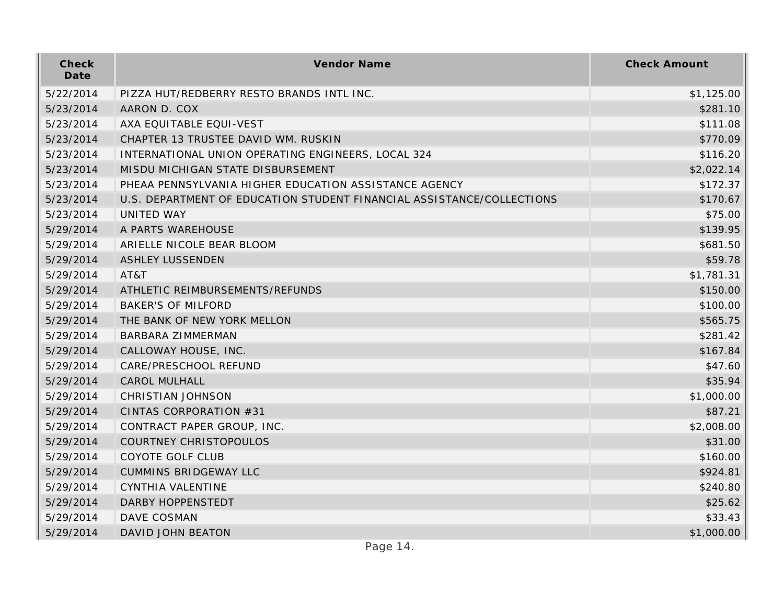| Check<br>Date | Vendor Name                                                           | <b>Check Amount</b> |
|---------------|-----------------------------------------------------------------------|---------------------|
| 5/22/2014     | PIZZA HUT/REDBERRY RESTO BRANDS INTL INC.                             | \$1,125.00          |
| 5/23/2014     | AARON D. COX                                                          | \$281.10            |
| 5/23/2014     | AXA EQUITABLE EQUI-VEST                                               | \$111.08            |
| 5/23/2014     | CHAPTER 13 TRUSTEE DAVID WM. RUSKIN                                   | \$770.09            |
| 5/23/2014     | INTERNATIONAL UNION OPERATING ENGINEERS, LOCAL 324                    | \$116.20            |
| 5/23/2014     | MISDU MICHIGAN STATE DISBURSEMENT                                     | \$2,022.14          |
| 5/23/2014     | PHEAA PENNSYLVANIA HIGHER EDUCATION ASSISTANCE AGENCY                 | \$172.37            |
| 5/23/2014     | U.S. DEPARTMENT OF EDUCATION STUDENT FINANCIAL ASSISTANCE/COLLECTIONS | \$170.67            |
| 5/23/2014     | <b>UNITED WAY</b>                                                     | \$75.00             |
| 5/29/2014     | A PARTS WAREHOUSE                                                     | \$139.95            |
| 5/29/2014     | ARIELLE NICOLE BEAR BLOOM                                             | \$681.50            |
| 5/29/2014     | <b>ASHLEY LUSSENDEN</b>                                               | \$59.78             |
| 5/29/2014     | AT&T                                                                  | \$1,781.31          |
| 5/29/2014     | ATHLETIC REIMBURSEMENTS/REFUNDS                                       | \$150.00            |
| 5/29/2014     | <b>BAKER'S OF MILFORD</b>                                             | \$100.00            |
| 5/29/2014     | THE BANK OF NEW YORK MELLON                                           | \$565.75            |
| 5/29/2014     | <b>BARBARA ZIMMERMAN</b>                                              | \$281.42            |
| 5/29/2014     | CALLOWAY HOUSE, INC.                                                  | \$167.84            |
| 5/29/2014     | CARE/PRESCHOOL REFUND                                                 | \$47.60             |
| 5/29/2014     | <b>CAROL MULHALL</b>                                                  | \$35.94             |
| 5/29/2014     | <b>CHRISTIAN JOHNSON</b>                                              | \$1,000.00          |
| 5/29/2014     | CINTAS CORPORATION #31                                                | \$87.21             |
| 5/29/2014     | CONTRACT PAPER GROUP, INC.                                            | \$2,008.00          |
| 5/29/2014     | COURTNEY CHRISTOPOULOS                                                | \$31.00             |
| 5/29/2014     | COYOTE GOLF CLUB                                                      | \$160.00            |
| 5/29/2014     | <b>CUMMINS BRIDGEWAY LLC</b>                                          | \$924.81            |
| 5/29/2014     | CYNTHIA VALENTINE                                                     | \$240.80            |
| 5/29/2014     | DARBY HOPPENSTEDT                                                     | \$25.62             |
| 5/29/2014     | DAVE COSMAN                                                           | \$33.43             |
| 5/29/2014     | DAVID JOHN BEATON                                                     | \$1,000.00          |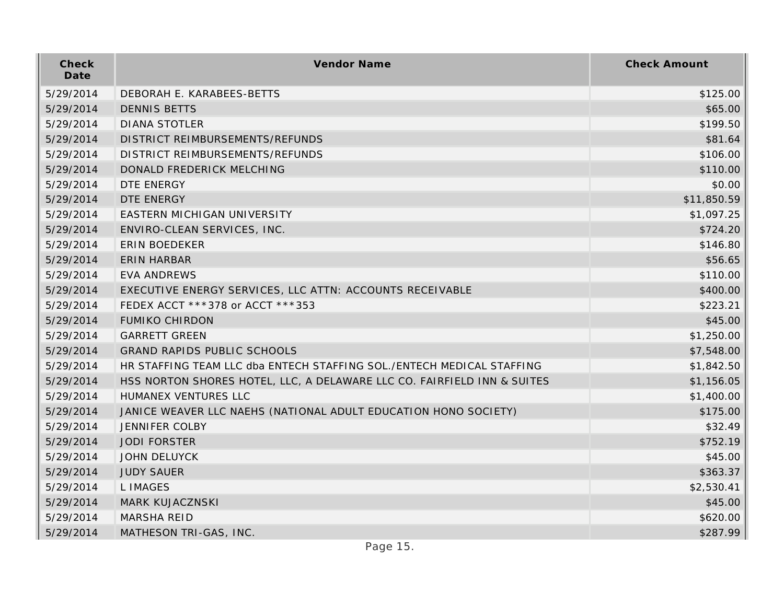| Check<br>Date | Vendor Name                                                             | <b>Check Amount</b> |
|---------------|-------------------------------------------------------------------------|---------------------|
| 5/29/2014     | DEBORAH E. KARABEES-BETTS                                               | \$125.00            |
| 5/29/2014     | <b>DENNIS BETTS</b>                                                     | \$65.00             |
| 5/29/2014     | <b>DIANA STOTLER</b>                                                    | \$199.50            |
| 5/29/2014     | DISTRICT REIMBURSEMENTS/REFUNDS                                         | \$81.64             |
| 5/29/2014     | DISTRICT REIMBURSEMENTS/REFUNDS                                         | \$106.00            |
| 5/29/2014     | DONALD FREDERICK MELCHING                                               | \$110.00            |
| 5/29/2014     | DTE ENERGY                                                              | \$0.00              |
| 5/29/2014     | DTE ENERGY                                                              | \$11,850.59         |
| 5/29/2014     | EASTERN MICHIGAN UNIVERSITY                                             | \$1,097.25          |
| 5/29/2014     | ENVIRO-CLEAN SERVICES, INC.                                             | \$724.20            |
| 5/29/2014     | <b>ERIN BOEDEKER</b>                                                    | \$146.80            |
| 5/29/2014     | <b>ERIN HARBAR</b>                                                      | \$56.65             |
| 5/29/2014     | <b>EVA ANDREWS</b>                                                      | \$110.00            |
| 5/29/2014     | EXECUTIVE ENERGY SERVICES, LLC ATTN: ACCOUNTS RECEIVABLE                | \$400.00            |
| 5/29/2014     | FEDEX ACCT ***378 or ACCT ***353                                        | \$223.21            |
| 5/29/2014     | <b>FUMIKO CHIRDON</b>                                                   | \$45.00             |
| 5/29/2014     | <b>GARRETT GREEN</b>                                                    | \$1,250.00          |
| 5/29/2014     | <b>GRAND RAPIDS PUBLIC SCHOOLS</b>                                      | \$7,548.00          |
| 5/29/2014     | HR STAFFING TEAM LLC dba ENTECH STAFFING SOL./ENTECH MEDICAL STAFFING   | \$1,842.50          |
| 5/29/2014     | HSS NORTON SHORES HOTEL, LLC, A DELAWARE LLC CO. FAIRFIELD INN & SUITES | \$1,156.05          |
| 5/29/2014     | HUMANEX VENTURES LLC                                                    | \$1,400.00          |
| 5/29/2014     | JANICE WEAVER LLC NAEHS (NATIONAL ADULT EDUCATION HONO SOCIETY)         | \$175.00            |
| 5/29/2014     | <b>JENNIFER COLBY</b>                                                   | \$32.49             |
| 5/29/2014     | <b>JODI FORSTER</b>                                                     | \$752.19            |
| 5/29/2014     | <b>JOHN DELUYCK</b>                                                     | \$45.00             |
| 5/29/2014     | <b>JUDY SAUER</b>                                                       | \$363.37            |
| 5/29/2014     | L IMAGES                                                                | \$2,530.41          |
| 5/29/2014     | <b>MARK KUJACZNSKI</b>                                                  | \$45.00             |
| 5/29/2014     | <b>MARSHA REID</b>                                                      | \$620.00            |
| 5/29/2014     | MATHESON TRI-GAS, INC.                                                  | \$287.99            |